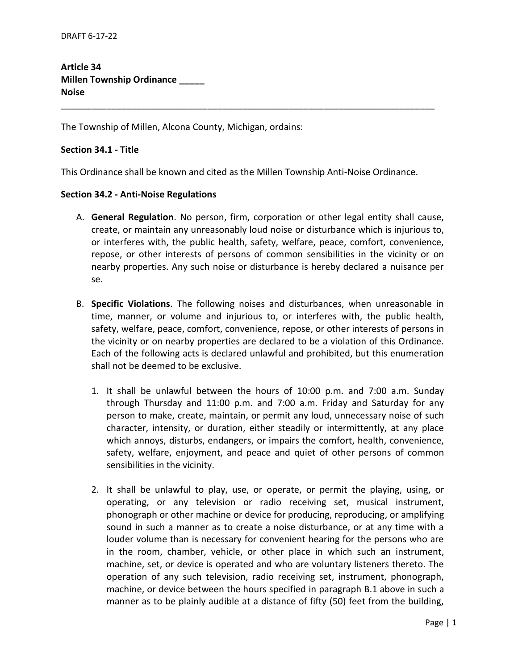**Article 34 Millen Township Ordinance \_\_\_\_\_ Noise**

The Township of Millen, Alcona County, Michigan, ordains:

#### **Section 34.1 - Title**

This Ordinance shall be known and cited as the Millen Township Anti-Noise Ordinance.

\_\_\_\_\_\_\_\_\_\_\_\_\_\_\_\_\_\_\_\_\_\_\_\_\_\_\_\_\_\_\_\_\_\_\_\_\_\_\_\_\_\_\_\_\_\_\_\_\_\_\_\_\_\_\_\_\_\_\_\_\_\_\_\_\_\_\_\_\_\_\_\_\_\_

### **Section 34.2 - Anti-Noise Regulations**

- A. **General Regulation**. No person, firm, corporation or other legal entity shall cause, create, or maintain any unreasonably loud noise or disturbance which is injurious to, or interferes with, the public health, safety, welfare, peace, comfort, convenience, repose, or other interests of persons of common sensibilities in the vicinity or on nearby properties. Any such noise or disturbance is hereby declared a nuisance per se.
- B. **Specific Violations**. The following noises and disturbances, when unreasonable in time, manner, or volume and injurious to, or interferes with, the public health, safety, welfare, peace, comfort, convenience, repose, or other interests of persons in the vicinity or on nearby properties are declared to be a violation of this Ordinance. Each of the following acts is declared unlawful and prohibited, but this enumeration shall not be deemed to be exclusive.
	- 1. It shall be unlawful between the hours of 10:00 p.m. and 7:00 a.m. Sunday through Thursday and 11:00 p.m. and 7:00 a.m. Friday and Saturday for any person to make, create, maintain, or permit any loud, unnecessary noise of such character, intensity, or duration, either steadily or intermittently, at any place which annoys, disturbs, endangers, or impairs the comfort, health, convenience, safety, welfare, enjoyment, and peace and quiet of other persons of common sensibilities in the vicinity.
	- 2. It shall be unlawful to play, use, or operate, or permit the playing, using, or operating, or any television or radio receiving set, musical instrument, phonograph or other machine or device for producing, reproducing, or amplifying sound in such a manner as to create a noise disturbance, or at any time with a louder volume than is necessary for convenient hearing for the persons who are in the room, chamber, vehicle, or other place in which such an instrument, machine, set, or device is operated and who are voluntary listeners thereto. The operation of any such television, radio receiving set, instrument, phonograph, machine, or device between the hours specified in paragraph B.1 above in such a manner as to be plainly audible at a distance of fifty (50) feet from the building,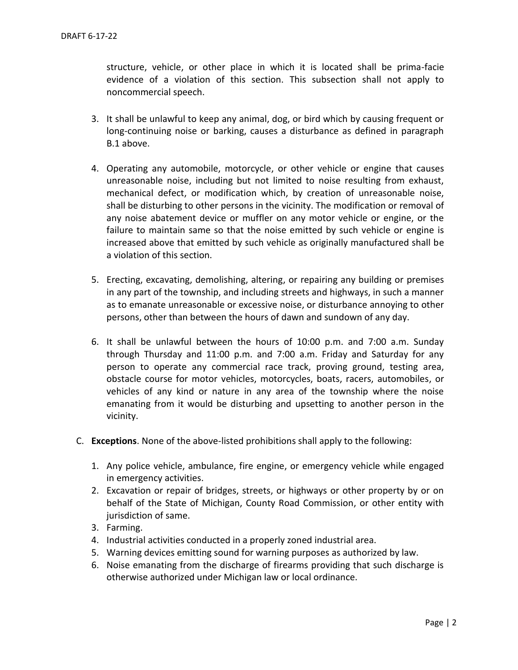structure, vehicle, or other place in which it is located shall be prima-facie evidence of a violation of this section. This subsection shall not apply to noncommercial speech.

- 3. It shall be unlawful to keep any animal, dog, or bird which by causing frequent or long-continuing noise or barking, causes a disturbance as defined in paragraph B.1 above.
- 4. Operating any automobile, motorcycle, or other vehicle or engine that causes unreasonable noise, including but not limited to noise resulting from exhaust, mechanical defect, or modification which, by creation of unreasonable noise, shall be disturbing to other persons in the vicinity. The modification or removal of any noise abatement device or muffler on any motor vehicle or engine, or the failure to maintain same so that the noise emitted by such vehicle or engine is increased above that emitted by such vehicle as originally manufactured shall be a violation of this section.
- 5. Erecting, excavating, demolishing, altering, or repairing any building or premises in any part of the township, and including streets and highways, in such a manner as to emanate unreasonable or excessive noise, or disturbance annoying to other persons, other than between the hours of dawn and sundown of any day.
- 6. It shall be unlawful between the hours of 10:00 p.m. and 7:00 a.m. Sunday through Thursday and 11:00 p.m. and 7:00 a.m. Friday and Saturday for any person to operate any commercial race track, proving ground, testing area, obstacle course for motor vehicles, motorcycles, boats, racers, automobiles, or vehicles of any kind or nature in any area of the township where the noise emanating from it would be disturbing and upsetting to another person in the vicinity.
- C. **Exceptions**. None of the above-listed prohibitions shall apply to the following:
	- 1. Any police vehicle, ambulance, fire engine, or emergency vehicle while engaged in emergency activities.
	- 2. Excavation or repair of bridges, streets, or highways or other property by or on behalf of the State of Michigan, County Road Commission, or other entity with jurisdiction of same.
	- 3. Farming.
	- 4. Industrial activities conducted in a properly zoned industrial area.
	- 5. Warning devices emitting sound for warning purposes as authorized by law.
	- 6. Noise emanating from the discharge of firearms providing that such discharge is otherwise authorized under Michigan law or local ordinance.